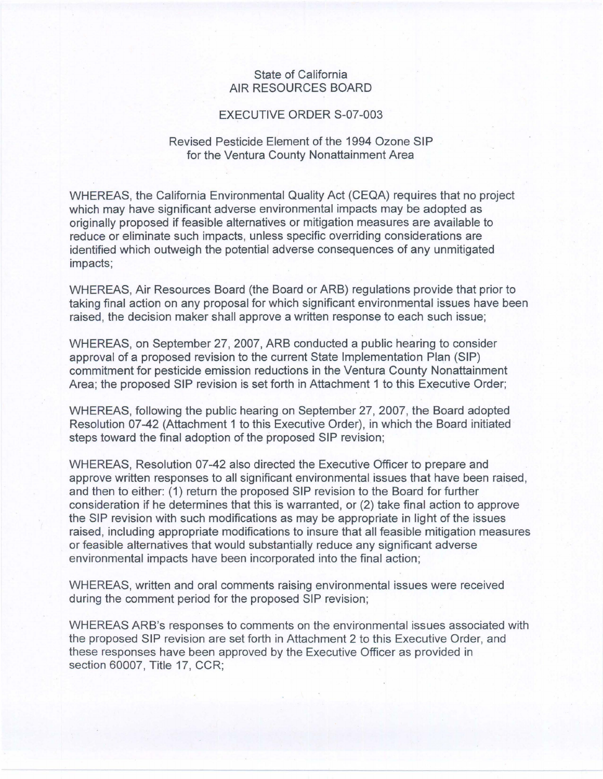## State of California AIR RESOURCES BOARD

## EXECUTIVE ORDER S-07-003

## Revised Pesticide Element of the 1994 Ozone SIP for the Ventura County Nonattainment Area

WHEREAS, the California Environmental Quality Act (CEQA) requires that no project which may have significant adverse environmental impacts may be adopted as originally proposed if feasible alternatives or mitigation measures are available to reduce or eliminate such impacts, unless specific overriding considerations are identified which outweigh the potential adverse consequences of any unmitigated impacts;

WHEREAS, Air Resources Board (the Board or ARB) regulations provide that prior to taking final action on any proposal for which significant environmental issues have been raised, the decision maker shall approve a written response to each such issue;

WHEREAS, on September 27, 2007, ARB conducted a public hearing to consider approval of a proposed revision to the current State Implementation Plan (SIP) commitment for pesticide emission reductions in the Ventura County Nonattainment Area; the proposed SIP revision is set forth in Attachment 1 to this Executive Order;

WHEREAS, following the public hearing on September 27, 2007, the Board adopted Resolution 07-42 (Attachment 1 to this Executive Order), in which the Board initiated steps toward the final adoption of the proposed SIP revision;

WHEREAS, Resolution 07-42 also directed the Executive Officer to prepare and approve written responses to all significant environmental issues that have been raised, and then to either: (1) return the proposed SIP revision to the Board for further consideration if he determines that this is warranted, or (2) take final action to approve the SIP revision with such modifications as may be appropriate in light of the issues raised, including appropriate modifications to insure that all feasible mitigation measures or feasible alternatives that would substantially reduce any significant adverse environmental impacts have been incorporated into the final action;

WHEREAS, written and oral comments raising environmental issues were received during the comment period for the proposed SIP revision;

WHEREAS ARB's responses to comments on the environmental issues associated with the proposed SIP revision are set forth in Attachment 2 to this Executive Order, and these responses have been approved by the Executive Officer as provided in section 60007, Title 17, CCR;